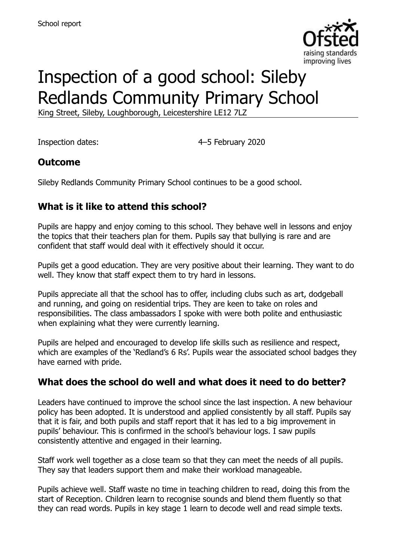

# Inspection of a good school: Sileby Redlands Community Primary School

King Street, Sileby, Loughborough, Leicestershire LE12 7LZ

Inspection dates: 4–5 February 2020

### **Outcome**

Sileby Redlands Community Primary School continues to be a good school.

## **What is it like to attend this school?**

Pupils are happy and enjoy coming to this school. They behave well in lessons and enjoy the topics that their teachers plan for them. Pupils say that bullying is rare and are confident that staff would deal with it effectively should it occur.

Pupils get a good education. They are very positive about their learning. They want to do well. They know that staff expect them to try hard in lessons.

Pupils appreciate all that the school has to offer, including clubs such as art, dodgeball and running, and going on residential trips. They are keen to take on roles and responsibilities. The class ambassadors I spoke with were both polite and enthusiastic when explaining what they were currently learning.

Pupils are helped and encouraged to develop life skills such as resilience and respect, which are examples of the 'Redland's 6 Rs'. Pupils wear the associated school badges they have earned with pride.

## **What does the school do well and what does it need to do better?**

Leaders have continued to improve the school since the last inspection. A new behaviour policy has been adopted. It is understood and applied consistently by all staff. Pupils say that it is fair, and both pupils and staff report that it has led to a big improvement in pupils' behaviour. This is confirmed in the school's behaviour logs. I saw pupils consistently attentive and engaged in their learning.

Staff work well together as a close team so that they can meet the needs of all pupils. They say that leaders support them and make their workload manageable.

Pupils achieve well. Staff waste no time in teaching children to read, doing this from the start of Reception. Children learn to recognise sounds and blend them fluently so that they can read words. Pupils in key stage 1 learn to decode well and read simple texts.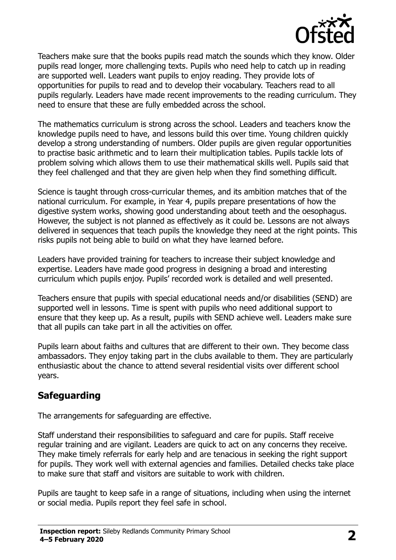

Teachers make sure that the books pupils read match the sounds which they know. Older pupils read longer, more challenging texts. Pupils who need help to catch up in reading are supported well. Leaders want pupils to enjoy reading. They provide lots of opportunities for pupils to read and to develop their vocabulary. Teachers read to all pupils regularly. Leaders have made recent improvements to the reading curriculum. They need to ensure that these are fully embedded across the school.

The mathematics curriculum is strong across the school. Leaders and teachers know the knowledge pupils need to have, and lessons build this over time. Young children quickly develop a strong understanding of numbers. Older pupils are given regular opportunities to practise basic arithmetic and to learn their multiplication tables. Pupils tackle lots of problem solving which allows them to use their mathematical skills well. Pupils said that they feel challenged and that they are given help when they find something difficult.

Science is taught through cross-curricular themes, and its ambition matches that of the national curriculum. For example, in Year 4, pupils prepare presentations of how the digestive system works, showing good understanding about teeth and the oesophagus. However, the subject is not planned as effectively as it could be. Lessons are not always delivered in sequences that teach pupils the knowledge they need at the right points. This risks pupils not being able to build on what they have learned before.

Leaders have provided training for teachers to increase their subject knowledge and expertise. Leaders have made good progress in designing a broad and interesting curriculum which pupils enjoy. Pupils' recorded work is detailed and well presented.

Teachers ensure that pupils with special educational needs and/or disabilities (SEND) are supported well in lessons. Time is spent with pupils who need additional support to ensure that they keep up. As a result, pupils with SEND achieve well. Leaders make sure that all pupils can take part in all the activities on offer.

Pupils learn about faiths and cultures that are different to their own. They become class ambassadors. They enjoy taking part in the clubs available to them. They are particularly enthusiastic about the chance to attend several residential visits over different school years.

#### **Safeguarding**

The arrangements for safeguarding are effective.

Staff understand their responsibilities to safeguard and care for pupils. Staff receive regular training and are vigilant. Leaders are quick to act on any concerns they receive. They make timely referrals for early help and are tenacious in seeking the right support for pupils. They work well with external agencies and families. Detailed checks take place to make sure that staff and visitors are suitable to work with children.

Pupils are taught to keep safe in a range of situations, including when using the internet or social media. Pupils report they feel safe in school.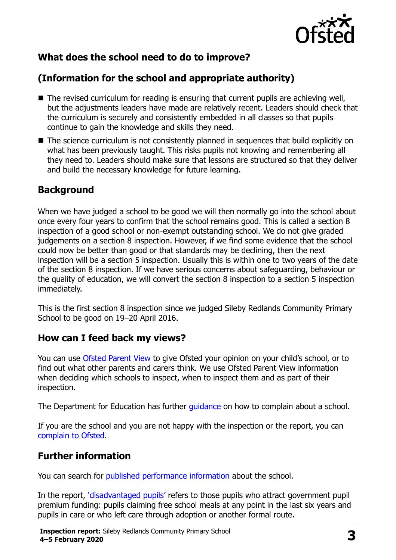

## **What does the school need to do to improve?**

## **(Information for the school and appropriate authority)**

- The revised curriculum for reading is ensuring that current pupils are achieving well, but the adjustments leaders have made are relatively recent. Leaders should check that the curriculum is securely and consistently embedded in all classes so that pupils continue to gain the knowledge and skills they need.
- The science curriculum is not consistently planned in sequences that build explicitly on what has been previously taught. This risks pupils not knowing and remembering all they need to. Leaders should make sure that lessons are structured so that they deliver and build the necessary knowledge for future learning.

#### **Background**

When we have judged a school to be good we will then normally go into the school about once every four years to confirm that the school remains good. This is called a section 8 inspection of a good school or non-exempt outstanding school. We do not give graded judgements on a section 8 inspection. However, if we find some evidence that the school could now be better than good or that standards may be declining, then the next inspection will be a section 5 inspection. Usually this is within one to two years of the date of the section 8 inspection. If we have serious concerns about safeguarding, behaviour or the quality of education, we will convert the section 8 inspection to a section 5 inspection immediately.

This is the first section 8 inspection since we judged Sileby Redlands Community Primary School to be good on 19–20 April 2016.

#### **How can I feed back my views?**

You can use [Ofsted Parent View](https://parentview.ofsted.gov.uk/) to give Ofsted your opinion on your child's school, or to find out what other parents and carers think. We use Ofsted Parent View information when deciding which schools to inspect, when to inspect them and as part of their inspection.

The Department for Education has further quidance on how to complain about a school.

If you are the school and you are not happy with the inspection or the report, you can [complain to Ofsted.](https://www.gov.uk/complain-ofsted-report)

#### **Further information**

You can search for [published performance information](http://www.compare-school-performance.service.gov.uk/) about the school.

In the report, '[disadvantaged pupils](http://www.gov.uk/guidance/pupil-premium-information-for-schools-and-alternative-provision-settings)' refers to those pupils who attract government pupil premium funding: pupils claiming free school meals at any point in the last six years and pupils in care or who left care through adoption or another formal route.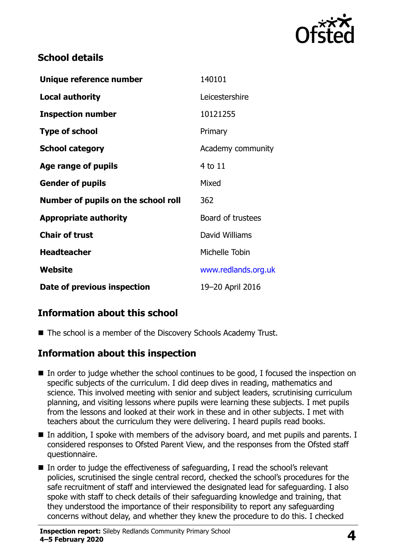

#### **School details**

| Unique reference number             | 140101              |
|-------------------------------------|---------------------|
| <b>Local authority</b>              | Leicestershire      |
| <b>Inspection number</b>            | 10121255            |
| <b>Type of school</b>               | Primary             |
| <b>School category</b>              | Academy community   |
| Age range of pupils                 | 4 to 11             |
| <b>Gender of pupils</b>             | Mixed               |
| Number of pupils on the school roll | 362                 |
| <b>Appropriate authority</b>        | Board of trustees   |
| <b>Chair of trust</b>               | David Williams      |
| <b>Headteacher</b>                  | Michelle Tobin      |
| Website                             | www.redlands.org.uk |
| Date of previous inspection         | 19-20 April 2016    |

### **Information about this school**

■ The school is a member of the Discovery Schools Academy Trust.

#### **Information about this inspection**

- In order to judge whether the school continues to be good, I focused the inspection on specific subjects of the curriculum. I did deep dives in reading, mathematics and science. This involved meeting with senior and subject leaders, scrutinising curriculum planning, and visiting lessons where pupils were learning these subjects. I met pupils from the lessons and looked at their work in these and in other subjects. I met with teachers about the curriculum they were delivering. I heard pupils read books.
- In addition, I spoke with members of the advisory board, and met pupils and parents. I considered responses to Ofsted Parent View, and the responses from the Ofsted staff questionnaire.
- In order to judge the effectiveness of safeguarding, I read the school's relevant policies, scrutinised the single central record, checked the school's procedures for the safe recruitment of staff and interviewed the designated lead for safeguarding. I also spoke with staff to check details of their safeguarding knowledge and training, that they understood the importance of their responsibility to report any safeguarding concerns without delay, and whether they knew the procedure to do this. I checked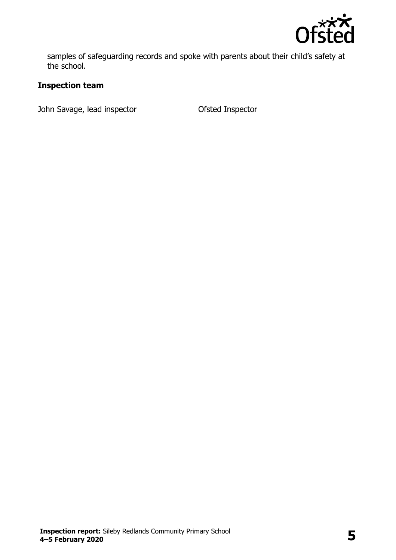

samples of safeguarding records and spoke with parents about their child's safety at the school.

#### **Inspection team**

John Savage, lead inspector **Ofsted Inspector**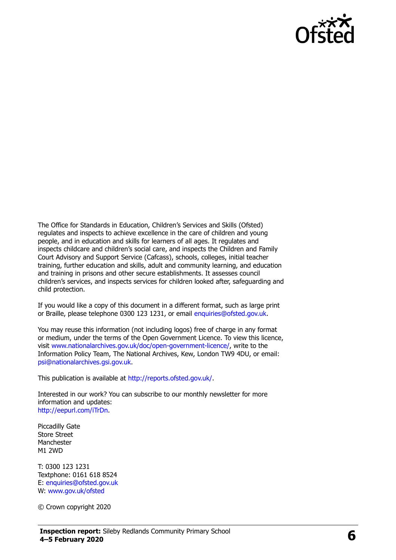

The Office for Standards in Education, Children's Services and Skills (Ofsted) regulates and inspects to achieve excellence in the care of children and young people, and in education and skills for learners of all ages. It regulates and inspects childcare and children's social care, and inspects the Children and Family Court Advisory and Support Service (Cafcass), schools, colleges, initial teacher training, further education and skills, adult and community learning, and education and training in prisons and other secure establishments. It assesses council children's services, and inspects services for children looked after, safeguarding and child protection.

If you would like a copy of this document in a different format, such as large print or Braille, please telephone 0300 123 1231, or email [enquiries@ofsted.gov.uk.](mailto:enquiries@ofsted.gov.uk)

You may reuse this information (not including logos) free of charge in any format or medium, under the terms of the Open Government Licence. To view this licence, visit [www.nationalarchives.gov.uk/doc/open-government-licence/,](http://www.nationalarchives.gov.uk/doc/open-government-licence/) write to the Information Policy Team, The National Archives, Kew, London TW9 4DU, or email: [psi@nationalarchives.gsi.gov.uk.](mailto:psi@nationalarchives.gsi.gov.uk)

This publication is available at [http://reports.ofsted.gov.uk/.](http://reports.ofsted.gov.uk/)

Interested in our work? You can subscribe to our monthly newsletter for more information and updates: [http://eepurl.com/iTrDn.](http://eepurl.com/iTrDn)

Piccadilly Gate Store Street Manchester M1 2WD

T: 0300 123 1231 Textphone: 0161 618 8524 E: [enquiries@ofsted.gov.uk](mailto:enquiries@ofsted.gov.uk) W: [www.gov.uk/ofsted](http://www.gov.uk/ofsted)

© Crown copyright 2020